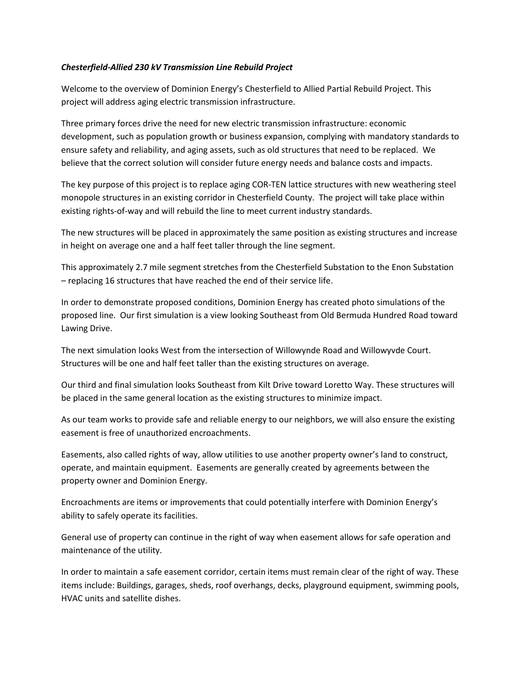## *Chesterfield-Allied 230 kV Transmission Line Rebuild Project*

Welcome to the overview of Dominion Energy's Chesterfield to Allied Partial Rebuild Project. This project will address aging electric transmission infrastructure.

Three primary forces drive the need for new electric transmission infrastructure: economic development, such as population growth or business expansion, complying with mandatory standards to ensure safety and reliability, and aging assets, such as old structures that need to be replaced. We believe that the correct solution will consider future energy needs and balance costs and impacts.

The key purpose of this project is to replace aging COR-TEN lattice structures with new weathering steel monopole structures in an existing corridor in Chesterfield County. The project will take place within existing rights-of-way and will rebuild the line to meet current industry standards.

The new structures will be placed in approximately the same position as existing structures and increase in height on average one and a half feet taller through the line segment.

This approximately 2.7 mile segment stretches from the Chesterfield Substation to the Enon Substation – replacing 16 structures that have reached the end of their service life.

In order to demonstrate proposed conditions, Dominion Energy has created photo simulations of the proposed line. Our first simulation is a view looking Southeast from Old Bermuda Hundred Road toward Lawing Drive.

The next simulation looks West from the intersection of Willowynde Road and Willowyvde Court. Structures will be one and half feet taller than the existing structures on average.

Our third and final simulation looks Southeast from Kilt Drive toward Loretto Way. These structures will be placed in the same general location as the existing structures to minimize impact.

As our team works to provide safe and reliable energy to our neighbors, we will also ensure the existing easement is free of unauthorized encroachments.

Easements, also called rights of way, allow utilities to use another property owner's land to construct, operate, and maintain equipment. Easements are generally created by agreements between the property owner and Dominion Energy.

Encroachments are items or improvements that could potentially interfere with Dominion Energy's ability to safely operate its facilities.

General use of property can continue in the right of way when easement allows for safe operation and maintenance of the utility.

In order to maintain a safe easement corridor, certain items must remain clear of the right of way. These items include: Buildings, garages, sheds, roof overhangs, decks, playground equipment, swimming pools, HVAC units and satellite dishes.